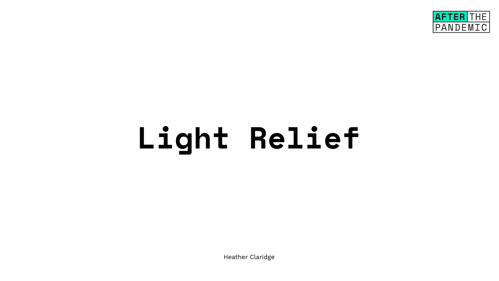# **Light Relief**

Heather Claridge

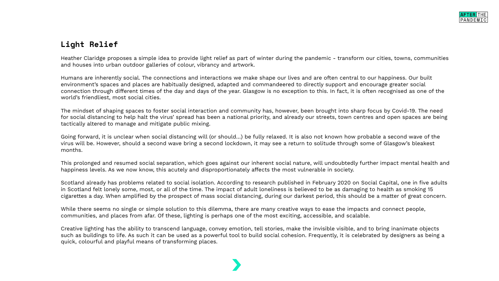## **Light Relief**

Heather Claridge proposes a simple idea to provide light relief as part of winter during the pandemic - transform our cities, towns, communities and houses into urban outdoor galleries of colour, vibrancy and artwork.

Humans are inherently social. The connections and interactions we make shape our lives and are often central to our happiness. Our built environment's spaces and places are habitually designed, adapted and commandeered to directly support and encourage greater social connection through different times of the day and days of the year. Glasgow is no exception to this. In fact, it is often recognised as one of the world's friendliest, most social cities.

The mindset of shaping spaces to foster social interaction and community has, however, been brought into sharp focus by Covid-19. The need for social distancing to help halt the virus' spread has been a national priority, and already our streets, town centres and open spaces are being tactically altered to manage and mitigate public mixing.

Going forward, it is unclear when social distancing will (or should…) be fully relaxed. It is also not known how probable a second wave of the virus will be. However, should a second wave bring a second lockdown, it may see a return to solitude through some of Glasgow's bleakest months.

This prolonged and resumed social separation, which goes against our inherent social nature, will undoubtedly further impact mental health and happiness levels. As we now know, this acutely and disproportionately affects the most vulnerable in society.

Scotland already has problems related to social isolation. According to research published in February 2020 on Social Capital, one in five adults in Scotland felt lonely some, most, or all of the time. The impact of adult loneliness is believed to be as damaging to health as smoking 15 cigarettes a day. When amplified by the prospect of mass social distancing, during our darkest period, this should be a matter of great concern.

While there seems no single or simple solution to this dilemma, there are many creative ways to ease the impacts and connect people, communities, and places from afar. Of these, lighting is perhaps one of the most exciting, accessible, and scalable.

Creative lighting has the ability to transcend language, convey emotion, tell stories, make the invisible visible, and to bring inanimate objects such as buildings to life. As such it can be used as a powerful tool to build social cohesion. Frequently, it is celebrated by designers as being a quick, colourful and playful means of transforming places.

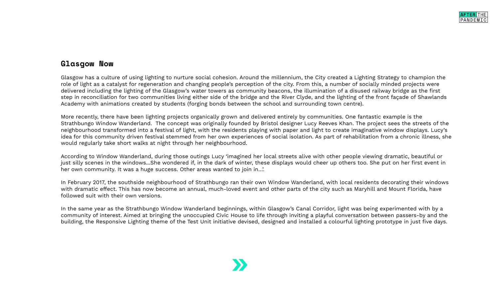### **Glasgow Now**

Glasgow has a culture of using lighting to nurture social cohesion. Around the millennium, the City created a Lighting Strategy to champion the role of light as a catalyst for regeneration and changing people's perception of the city. From this, a number of socially minded projects were delivered including the lighting of the Glasgow's water towers as community beacons, the illumination of a disused railway bridge as the first step in reconciliation for two communities living either side of the bridge and the River Clyde, and the lighting of the front façade of Shawlands Academy with animations created by students (forging bonds between the school and surrounding town centre).

More recently, there have been lighting projects organically grown and delivered entirely by communities. One fantastic example is the Strathbungo Window Wanderland. The concept was originally founded by Bristol designer Lucy Reeves Khan. The project sees the streets of the neighbourhood transformed into a festival of light, with the residents playing with paper and light to create imaginative window displays. Lucy's idea for this community driven festival stemmed from her own experiences of social isolation. As part of rehabilitation from a chronic illness, she would regularly take short walks at night through her neighbourhood.

According to Window Wanderland, during those outings Lucy 'imagined her local streets alive with other people viewing dramatic, beautiful or just silly scenes in the windows...She wondered if, in the dark of winter, these displays would cheer up others too. She put on her first event in her own community. It was a huge success. Other areas wanted to join in…'.

In February 2017, the southside neighbourhood of Strathbungo ran their own Window Wanderland, with local residents decorating their windows with dramatic effect. This has now become an annual, much-loved event and other parts of the city such as Maryhill and Mount Florida, have followed suit with their own versions.

In the same year as the Strathbungo Window Wanderland beginnings, within Glasgow's Canal Corridor, light was being experimented with by a community of interest. Aimed at bringing the unoccupied Civic House to life through inviting a playful conversation between passers-by and the building, the Responsive Lighting theme of the Test Unit initiative devised, designed and installed a colourful lighting prototype in just five days.



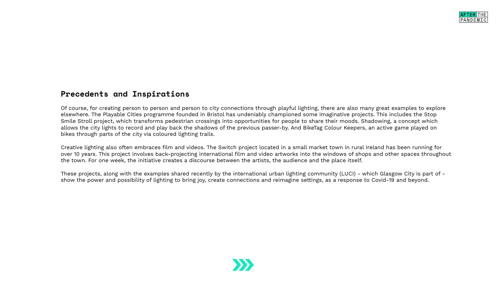### **Precedents and Inspirations**

Of course, for creating person to person and person to city connections through playful lighting, there are also many great examples to explore elsewhere. The Playable Cities programme founded in Bristol has undeniably championed some imaginative projects. This includes the Stop Smile Stroll project, which transforms pedestrian crossings into opportunities for people to share their moods. Shadowing, a concept which allows the city lights to record and play back the shadows of the previous passer-by. And BikeTag Colour Keepers, an active game played on bikes through parts of the city via coloured lighting trails.

Creative lighting also often embraces film and videos. The Switch project located in a small market town in rural Ireland has been running for over 10 years. This project involves back-projecting international film and video artworks into the windows of shops and other spaces throughout the town. For one week, the initiative creates a discourse between the artists, the audience and the place itself.

These projects, along with the examples shared recently by the international urban lighting community (LUCI) - which Glasgow City is part of show the power and possibility of lighting to bring joy, create connections and reimagine settings, as a response to Covid-19 and beyond.



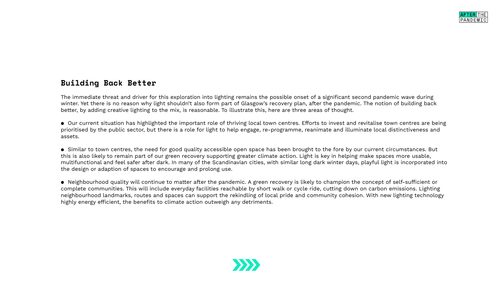### **Building Back Better**

The immediate threat and driver for this exploration into lighting remains the possible onset of a significant second pandemic wave during winter. Yet there is no reason why light shouldn't also form part of Glasgow's recovery plan, after the pandemic. The notion of building back better, by adding creative lighting to the mix, is reasonable. To illustrate this, here are three areas of thought.

● Our current situation has highlighted the important role of thriving local town centres. Efforts to invest and revitalise town centres are being prioritised by the public sector, but there is a role for light to help engage, re-programme, reanimate and illuminate local distinctiveness and assets.

● Similar to town centres, the need for good quality accessible open space has been brought to the fore by our current circumstances. But this is also likely to remain part of our green recovery supporting greater climate action. Light is key in helping make spaces more usable, multifunctional and feel safer after dark. In many of the Scandinavian cities, with similar long dark winter days, playful light is incorporated into the design or adaption of spaces to encourage and prolong use.

● Neighbourhood quality will continue to matter after the pandemic. A green recovery is likely to champion the concept of self-sufficient or complete communities. This will include everyday facilities reachable by short walk or cycle ride, cutting down on carbon emissions. Lighting neighbourhood landmarks, routes and spaces can support the rekindling of local pride and community cohesion. With new lighting technology highly energy efficient, the benefits to climate action outweigh any detriments.